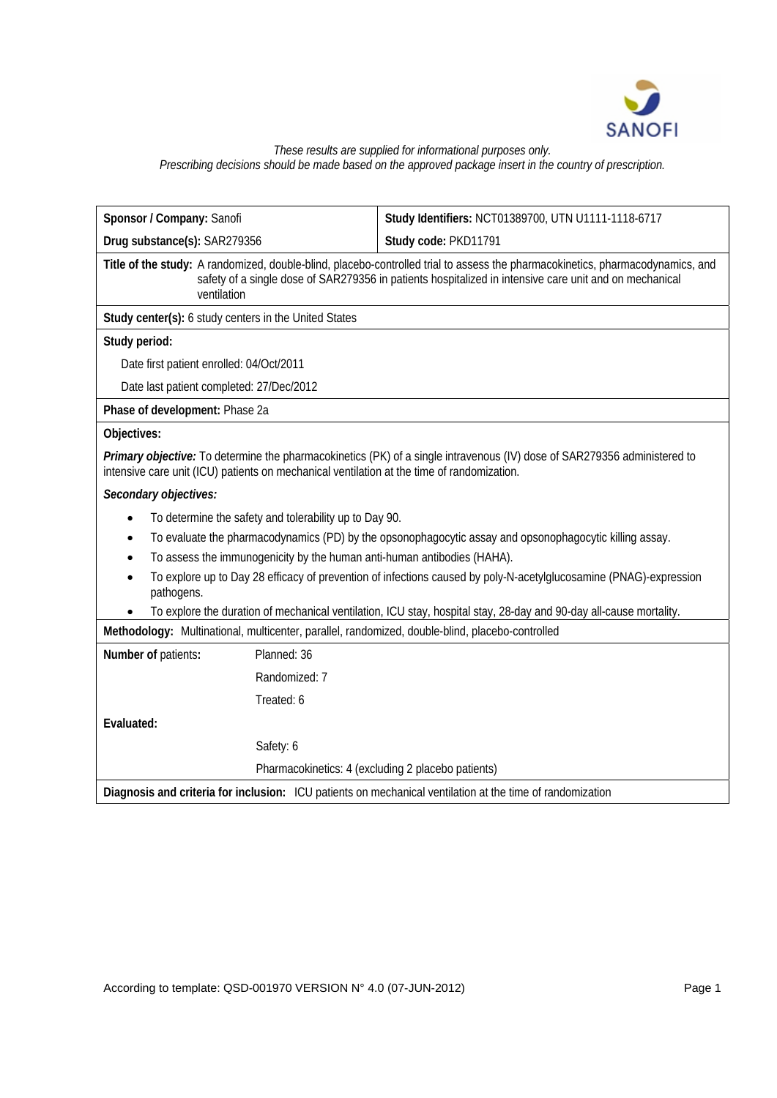

#### *These results are supplied for informational purposes only. Prescribing decisions should be made based on the approved package insert in the country of prescription.*

| Sponsor / Company: Sanofi                                                                                                                                                                                                                               | Study Identifiers: NCT01389700, UTN U1111-1118-6717                     |  |  |  |  |  |
|---------------------------------------------------------------------------------------------------------------------------------------------------------------------------------------------------------------------------------------------------------|-------------------------------------------------------------------------|--|--|--|--|--|
| Drug substance(s): SAR279356                                                                                                                                                                                                                            | Study code: PKD11791                                                    |  |  |  |  |  |
| Title of the study: A randomized, double-blind, placebo-controlled trial to assess the pharmacokinetics, pharmacodynamics, and<br>safety of a single dose of SAR279356 in patients hospitalized in intensive care unit and on mechanical<br>ventilation |                                                                         |  |  |  |  |  |
| Study center(s): 6 study centers in the United States                                                                                                                                                                                                   |                                                                         |  |  |  |  |  |
| Study period:                                                                                                                                                                                                                                           |                                                                         |  |  |  |  |  |
| Date first patient enrolled: 04/Oct/2011                                                                                                                                                                                                                |                                                                         |  |  |  |  |  |
| Date last patient completed: 27/Dec/2012                                                                                                                                                                                                                |                                                                         |  |  |  |  |  |
| Phase of development: Phase 2a                                                                                                                                                                                                                          |                                                                         |  |  |  |  |  |
| Objectives:                                                                                                                                                                                                                                             |                                                                         |  |  |  |  |  |
| Primary objective: To determine the pharmacokinetics (PK) of a single intravenous (IV) dose of SAR279356 administered to<br>intensive care unit (ICU) patients on mechanical ventilation at the time of randomization.                                  |                                                                         |  |  |  |  |  |
| Secondary objectives:                                                                                                                                                                                                                                   |                                                                         |  |  |  |  |  |
| To determine the safety and tolerability up to Day 90.<br>$\bullet$                                                                                                                                                                                     |                                                                         |  |  |  |  |  |
| To evaluate the pharmacodynamics (PD) by the opsonophagocytic assay and opsonophagocytic killing assay.<br>$\bullet$                                                                                                                                    |                                                                         |  |  |  |  |  |
| $\bullet$                                                                                                                                                                                                                                               | To assess the immunogenicity by the human anti-human antibodies (HAHA). |  |  |  |  |  |
| To explore up to Day 28 efficacy of prevention of infections caused by poly-N-acetylglucosamine (PNAG)-expression<br>pathogens.                                                                                                                         |                                                                         |  |  |  |  |  |
| To explore the duration of mechanical ventilation, ICU stay, hospital stay, 28-day and 90-day all-cause mortality.                                                                                                                                      |                                                                         |  |  |  |  |  |
| Methodology: Multinational, multicenter, parallel, randomized, double-blind, placebo-controlled                                                                                                                                                         |                                                                         |  |  |  |  |  |
| Number of patients:<br>Planned: 36                                                                                                                                                                                                                      |                                                                         |  |  |  |  |  |
| Randomized: 7                                                                                                                                                                                                                                           |                                                                         |  |  |  |  |  |
| Treated: 6                                                                                                                                                                                                                                              |                                                                         |  |  |  |  |  |
| Evaluated:                                                                                                                                                                                                                                              |                                                                         |  |  |  |  |  |
| Safety: 6                                                                                                                                                                                                                                               |                                                                         |  |  |  |  |  |
|                                                                                                                                                                                                                                                         | Pharmacokinetics: 4 (excluding 2 placebo patients)                      |  |  |  |  |  |
| Diagnosis and criteria for inclusion: ICU patients on mechanical ventilation at the time of randomization                                                                                                                                               |                                                                         |  |  |  |  |  |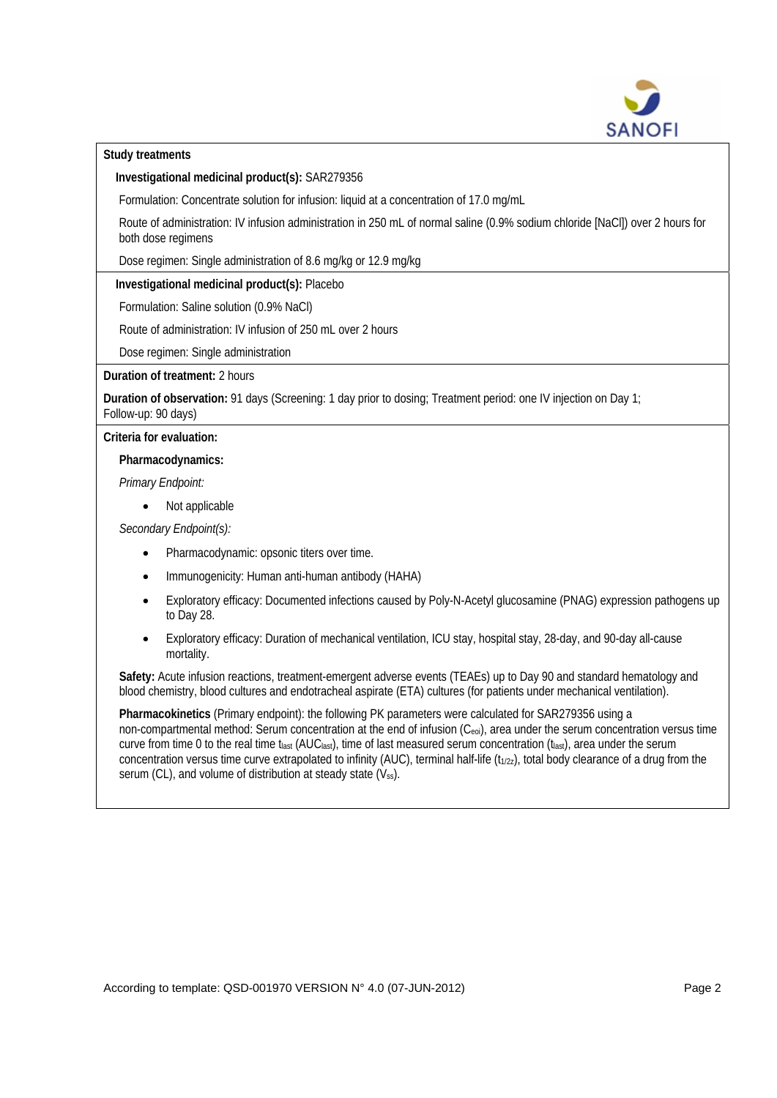

## **Study treatments**

**Investigational medicinal product(s):** SAR279356

Formulation: Concentrate solution for infusion: liquid at a concentration of 17.0 mg/mL

Route of administration: IV infusion administration in 250 mL of normal saline (0.9% sodium chloride [NaCl]) over 2 hours for both dose regimens

Dose regimen: Single administration of 8.6 mg/kg or 12.9 mg/kg

# **Investigational medicinal product(s):** Placebo

Formulation: Saline solution (0.9% NaCl)

Route of administration: IV infusion of 250 mL over 2 hours

Dose regimen: Single administration

# **Duration of treatment:** 2 hours

**Duration of observation:** 91 days (Screening: 1 day prior to dosing; Treatment period: one IV injection on Day 1; Follow-up: 90 days)

**Criteria for evaluation:**

**Pharmacodynamics:** 

*Primary Endpoint:* 

• Not applicable

*Secondary Endpoint(s):* 

- Pharmacodynamic: opsonic titers over time.
- Immunogenicity: Human anti-human antibody (HAHA)
- Exploratory efficacy: Documented infections caused by Poly-N-Acetyl glucosamine (PNAG) expression pathogens up to Day 28.
- Exploratory efficacy: Duration of mechanical ventilation, ICU stay, hospital stay, 28-day, and 90-day all-cause mortality.

**Safety:** Acute infusion reactions, treatment-emergent adverse events (TEAEs) up to Day 90 and standard hematology and blood chemistry, blood cultures and endotracheal aspirate (ETA) cultures (for patients under mechanical ventilation).

**Pharmacokinetics** (Primary endpoint): the following PK parameters were calculated for SAR279356 using a non-compartmental method: Serum concentration at the end of infusion (Ceoi), area under the serum concentration versus time curve from time 0 to the real time tlast  $(AUC_{last})$ , time of last measured serum concentration  $(t_{last})$ , area under the serum concentration versus time curve extrapolated to infinity (AUC), terminal half-life  $(t_{1/2z})$ , total body clearance of a drug from the serum (CL), and volume of distribution at steady state (Vss).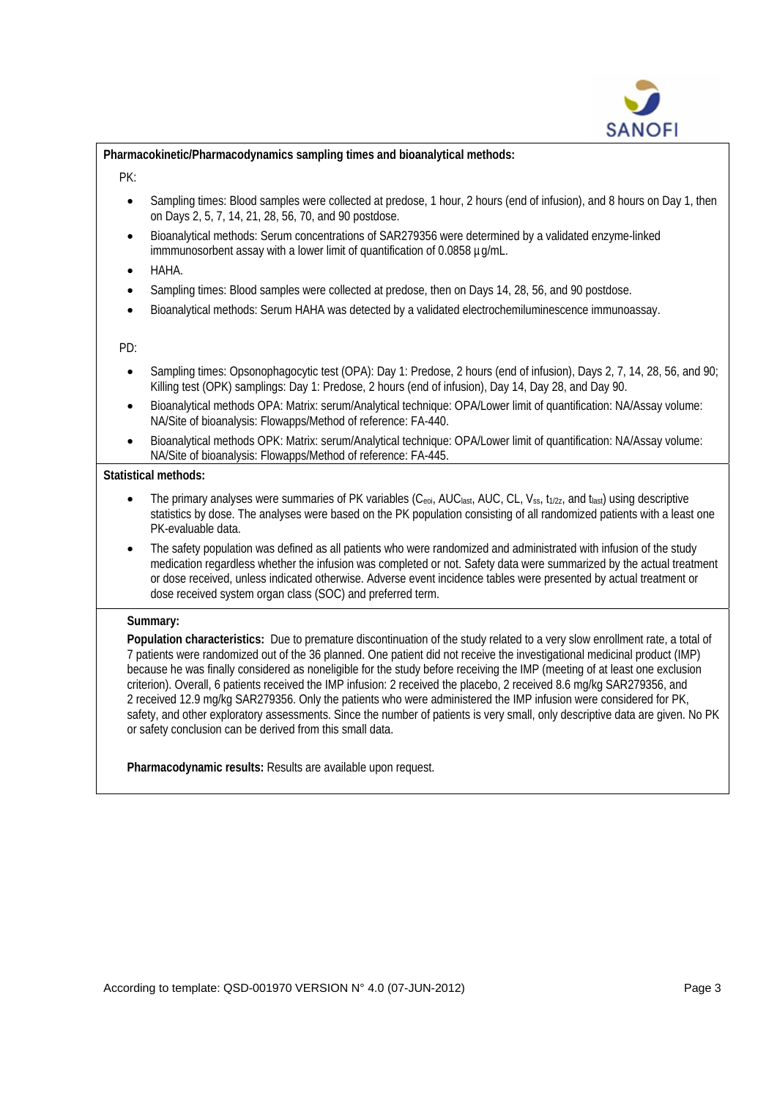

**Pharmacokinetic/Pharmacodynamics sampling times and bioanalytical methods:**

- PK:
	- Sampling times: Blood samples were collected at predose, 1 hour, 2 hours (end of infusion), and 8 hours on Day 1, then on Days 2, 5, 7, 14, 21, 28, 56, 70, and 90 postdose.
	- Bioanalytical methods: Serum concentrations of SAR279356 were determined by a validated enzyme-linked immmunosorbent assay with a lower limit of quantification of 0.0858 µg/mL.
	- HAHA.
	- Sampling times: Blood samples were collected at predose, then on Days 14, 28, 56, and 90 postdose.
	- Bioanalytical methods: Serum HAHA was detected by a validated electrochemiluminescence immunoassay.

PD:

- Sampling times: Opsonophagocytic test (OPA): Day 1: Predose, 2 hours (end of infusion), Days 2, 7, 14, 28, 56, and 90; Killing test (OPK) samplings: Day 1: Predose, 2 hours (end of infusion), Day 14, Day 28, and Day 90.
- Bioanalytical methods OPA: Matrix: serum/Analytical technique: OPA/Lower limit of quantification: NA/Assay volume: NA/Site of bioanalysis: Flowapps/Method of reference: FA-440.
- Bioanalytical methods OPK: Matrix: serum/Analytical technique: OPA/Lower limit of quantification: NA/Assay volume: NA/Site of bioanalysis: Flowapps/Method of reference: FA-445.

### **Statistical methods:**

- The primary analyses were summaries of PK variables (Ceoi, AUClast, AUC, CL, Vss,  $t_{1/2z}$ , and  $t_{last}$ ) using descriptive statistics by dose. The analyses were based on the PK population consisting of all randomized patients with a least one PK-evaluable data.
- The safety population was defined as all patients who were randomized and administrated with infusion of the study medication regardless whether the infusion was completed or not. Safety data were summarized by the actual treatment or dose received, unless indicated otherwise. Adverse event incidence tables were presented by actual treatment or dose received system organ class (SOC) and preferred term.

### **Summary:**

**Population characteristics:** Due to premature discontinuation of the study related to a very slow enrollment rate, a total of 7 patients were randomized out of the 36 planned. One patient did not receive the investigational medicinal product (IMP) because he was finally considered as noneligible for the study before receiving the IMP (meeting of at least one exclusion criterion). Overall, 6 patients received the IMP infusion: 2 received the placebo, 2 received 8.6 mg/kg SAR279356, and 2 received 12.9 mg/kg SAR279356. Only the patients who were administered the IMP infusion were considered for PK, safety, and other exploratory assessments. Since the number of patients is very small, only descriptive data are given. No PK or safety conclusion can be derived from this small data.

**Pharmacodynamic results:** Results are available upon request.